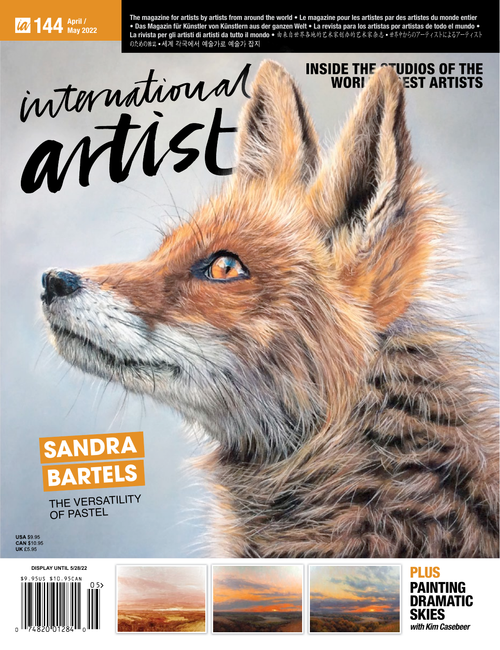**144 April / May 2022** **The magazine for artists by artists from around the world • Le magazine pour les artistes par des artistes du monde entier • Das Magazin für Künstler von Künstlern aus der ganzen Welt • La revista para los artistas por artistas de todo el mundo •**  La rivista per gli artisti di artisti da tutto il mondo · 由来自世界各地的艺术家创办的艺术家杂志 · 世界中からのアーティストによるアーティスト

> INSIDE THE **STUDIOS OF THE** WORLD'S EST ARTISTS

# international



THE VERSATILITY OF PASTEL

**USA** \$9.95 **CAN** \$10.95 **UK** £5.95









PLUS PAINTING **DRAMATIC SKIES with Kim Casebeer**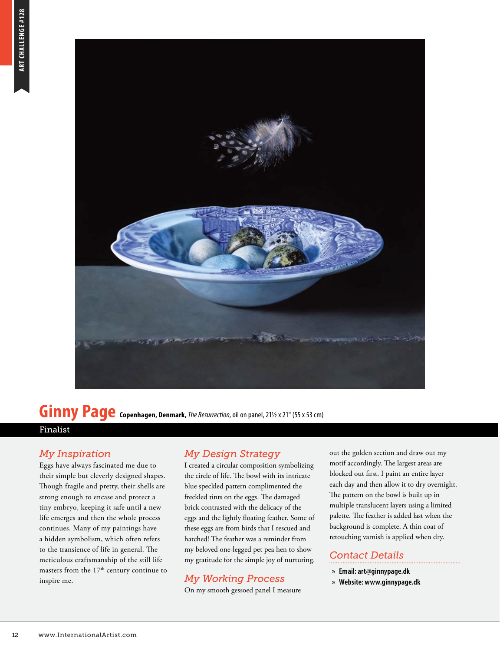

### **Ginny Page Copenhagen, Denmark,** *The Resurrection*, oil on panel, 21½ x 21" (55 x 53 cm)

#### Finalist

#### *My Inspiration*

Eggs have always fascinated me due to their simple but cleverly designed shapes. Though fragile and pretty, their shells are strong enough to encase and protect a tiny embryo, keeping it safe until a new life emerges and then the whole process continues. Many of my paintings have a hidden symbolism, which often refers to the transience of life in general. The meticulous craftsmanship of the still life masters from the 17<sup>th</sup> century continue to inspire me.

#### *My Design Strategy*

I created a circular composition symbolizing the circle of life. The bowl with its intricate blue speckled pattern complimented the freckled tints on the eggs. The damaged brick contrasted with the delicacy of the eggs and the lightly floating feather. Some of these eggs are from birds that I rescued and hatched! The feather was a reminder from my beloved one-legged pet pea hen to show my gratitude for the simple joy of nurturing.

#### *My Working Process*

On my smooth gessoed panel I measure

out the golden section and draw out my motif accordingly. The largest areas are blocked out first. I paint an entire layer each day and then allow it to dry overnight. The pattern on the bowl is built up in multiple translucent layers using a limited palette. The feather is added last when the background is complete. A thin coat of retouching varnish is applied when dry.

#### *Contact Details*

- » **Email: art@ginnypage.dk**
- » **Website: www.ginnypage.dk**